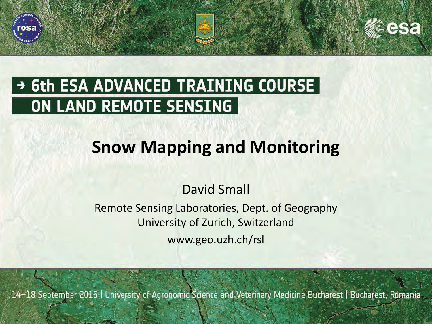

## → 6th ESA ADVANCED TRAINING COURSE ON LAND REMOTE SENSING

# **Snow Mapping and Monitoring**

### David Small

#### Remote Sensing Laboratories, Dept. of Geography University of Zurich, Switzerland www.geo.uzh.ch/rsl

14-18 September 2015 | University of Agronomic Science and Veterinary Medicine Bucharest | Bucharest, Romania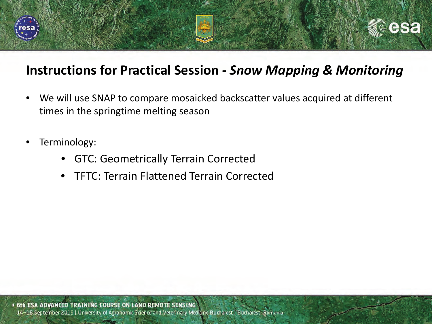

#### **Instructions for Practical Session -** *Snow Mapping & Monitoring*

- We will use SNAP to compare mosaicked backscatter values acquired at different times in the springtime melting season
- Terminology:
	- GTC: Geometrically Terrain Corrected
	- TFTC: Terrain Flattened Terrain Corrected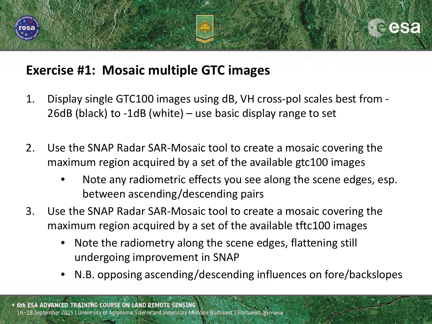

#### **Exercise #1: Mosaic multiple GTC images**

- 1. Display single GTC100 images using dB, VH cross-pol scales best from 26dB (black) to -1dB (white) – use basic display range to set
- 2. Use the SNAP Radar SAR-Mosaic tool to create a mosaic covering the maximum region acquired by a set of the available gtc100 images
	- Note any radiometric effects you see along the scene edges, esp. between ascending/descending pairs
- 3. Use the SNAP Radar SAR-Mosaic tool to create a mosaic covering the maximum region acquired by a set of the available tftc100 images
	- Note the radiometry along the scene edges, flattening still undergoing improvement in SNAP
	- N.B. opposing ascending/descending influences on fore/backslopes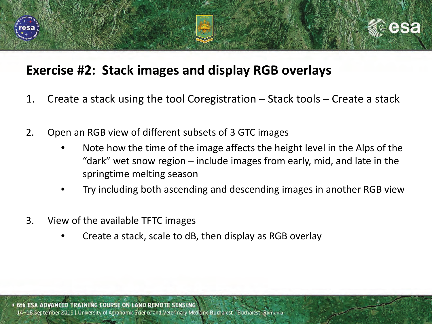

#### **Exercise #2: Stack images and display RGB overlays**

- 1. Create a stack using the tool Coregistration Stack tools Create a stack
- 2. Open an RGB view of different subsets of 3 GTC images
	- Note how the time of the image affects the height level in the Alps of the "dark" wet snow region – include images from early, mid, and late in the springtime melting season
	- Try including both ascending and descending images in another RGB view
- 3. View of the available TFTC images
	- Create a stack, scale to dB, then display as RGB overlay